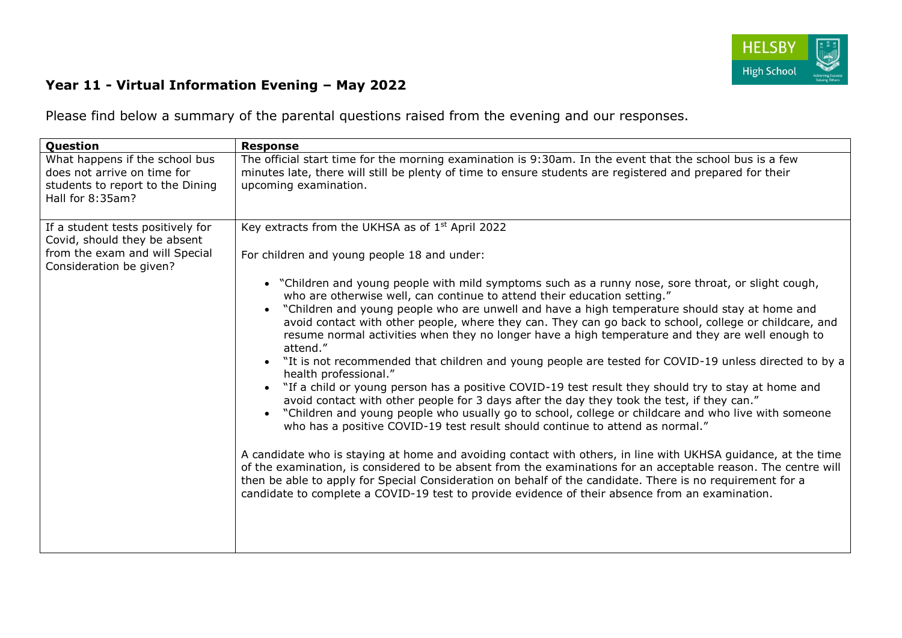

## **Year 11 - Virtual Information Evening – May 2022**

Please find below a summary of the parental questions raised from the evening and our responses.

| Question                                                                                                              | <b>Response</b>                                                                                                                                                                                                                                                                                                                                                                                                                                                                                                                                                                                                                                                                                                                                                                                                                                                                                                                                                                                                                                                                                                                                                                                                                                                                                                                                                                                                                                                                                |
|-----------------------------------------------------------------------------------------------------------------------|------------------------------------------------------------------------------------------------------------------------------------------------------------------------------------------------------------------------------------------------------------------------------------------------------------------------------------------------------------------------------------------------------------------------------------------------------------------------------------------------------------------------------------------------------------------------------------------------------------------------------------------------------------------------------------------------------------------------------------------------------------------------------------------------------------------------------------------------------------------------------------------------------------------------------------------------------------------------------------------------------------------------------------------------------------------------------------------------------------------------------------------------------------------------------------------------------------------------------------------------------------------------------------------------------------------------------------------------------------------------------------------------------------------------------------------------------------------------------------------------|
| What happens if the school bus<br>does not arrive on time for<br>students to report to the Dining<br>Hall for 8:35am? | The official start time for the morning examination is 9:30am. In the event that the school bus is a few<br>minutes late, there will still be plenty of time to ensure students are registered and prepared for their<br>upcoming examination.                                                                                                                                                                                                                                                                                                                                                                                                                                                                                                                                                                                                                                                                                                                                                                                                                                                                                                                                                                                                                                                                                                                                                                                                                                                 |
| If a student tests positively for<br>Covid, should they be absent                                                     | Key extracts from the UKHSA as of 1 <sup>st</sup> April 2022                                                                                                                                                                                                                                                                                                                                                                                                                                                                                                                                                                                                                                                                                                                                                                                                                                                                                                                                                                                                                                                                                                                                                                                                                                                                                                                                                                                                                                   |
| from the exam and will Special<br>Consideration be given?                                                             | For children and young people 18 and under:                                                                                                                                                                                                                                                                                                                                                                                                                                                                                                                                                                                                                                                                                                                                                                                                                                                                                                                                                                                                                                                                                                                                                                                                                                                                                                                                                                                                                                                    |
|                                                                                                                       | • "Children and young people with mild symptoms such as a runny nose, sore throat, or slight cough,<br>who are otherwise well, can continue to attend their education setting."<br>"Children and young people who are unwell and have a high temperature should stay at home and<br>avoid contact with other people, where they can. They can go back to school, college or childcare, and<br>resume normal activities when they no longer have a high temperature and they are well enough to<br>attend."<br>• "It is not recommended that children and young people are tested for COVID-19 unless directed to by a<br>health professional."<br>"If a child or young person has a positive COVID-19 test result they should try to stay at home and<br>avoid contact with other people for 3 days after the day they took the test, if they can."<br>"Children and young people who usually go to school, college or childcare and who live with someone<br>who has a positive COVID-19 test result should continue to attend as normal."<br>A candidate who is staying at home and avoiding contact with others, in line with UKHSA guidance, at the time<br>of the examination, is considered to be absent from the examinations for an acceptable reason. The centre will<br>then be able to apply for Special Consideration on behalf of the candidate. There is no requirement for a<br>candidate to complete a COVID-19 test to provide evidence of their absence from an examination. |
|                                                                                                                       |                                                                                                                                                                                                                                                                                                                                                                                                                                                                                                                                                                                                                                                                                                                                                                                                                                                                                                                                                                                                                                                                                                                                                                                                                                                                                                                                                                                                                                                                                                |